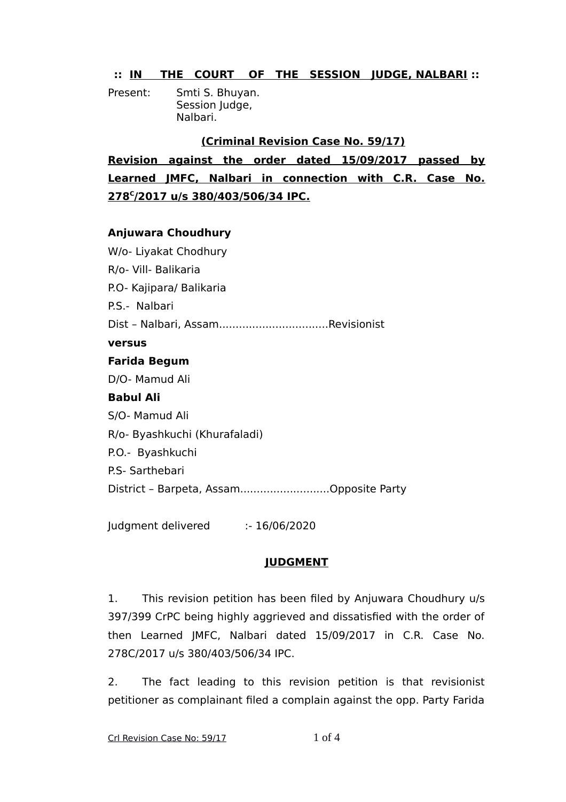## **:: IN THE COURT OF THE SESSION JUDGE, NALBARI ::**

Present: Smti S. Bhuyan. Session Judge, Nalbari.

### **(Criminal Revision Case No. 59/17)**

**Revision against the order dated 15/09/2017 passed by Learned JMFC, Nalbari in connection with C.R. Case No. 278<sup>C</sup> /2017 u/s 380/403/506/34 IPC.**

#### **Anjuwara Choudhury**

W/o- Liyakat Chodhury R/o- Vill- Balikaria P.O- Kajipara/ Balikaria P.S.- Nalbari Dist – Nalbari, Assam.................................Revisionist **versus Farida Begum** D/O- Mamud Ali **Babul Ali** S/O- Mamud Ali R/o- Byashkuchi (Khurafaladi) P.O.- Byashkuchi P.S- Sarthebari District – Barpeta, Assam...........................Opposite Party

Judgment delivered :- 16/06/2020

# **JUDGMENT**

1. This revision petition has been filed by Anjuwara Choudhury u/s 397/399 CrPC being highly aggrieved and dissatisfied with the order of then Learned JMFC, Nalbari dated 15/09/2017 in C.R. Case No. 278C/2017 u/s 380/403/506/34 IPC.

2. The fact leading to this revision petition is that revisionist petitioner as complainant filed a complain against the opp. Party Farida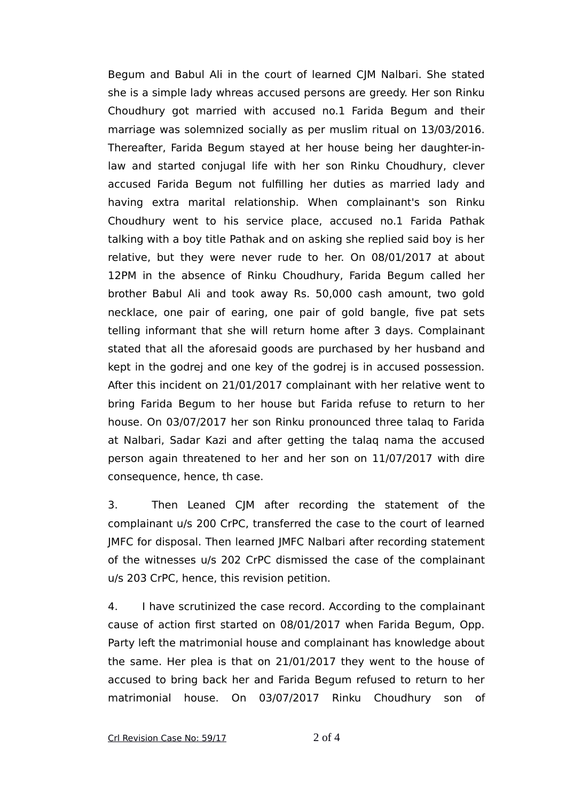Begum and Babul Ali in the court of learned CJM Nalbari. She stated she is a simple lady whreas accused persons are greedy. Her son Rinku Choudhury got married with accused no.1 Farida Begum and their marriage was solemnized socially as per muslim ritual on 13/03/2016. Thereafter, Farida Begum stayed at her house being her daughter-inlaw and started conjugal life with her son Rinku Choudhury, clever accused Farida Begum not fulfilling her duties as married lady and having extra marital relationship. When complainant's son Rinku Choudhury went to his service place, accused no.1 Farida Pathak talking with a boy title Pathak and on asking she replied said boy is her relative, but they were never rude to her. On 08/01/2017 at about 12PM in the absence of Rinku Choudhury, Farida Begum called her brother Babul Ali and took away Rs. 50,000 cash amount, two gold necklace, one pair of earing, one pair of gold bangle, five pat sets telling informant that she will return home after 3 days. Complainant stated that all the aforesaid goods are purchased by her husband and kept in the godrej and one key of the godrej is in accused possession. After this incident on 21/01/2017 complainant with her relative went to bring Farida Begum to her house but Farida refuse to return to her house. On 03/07/2017 her son Rinku pronounced three talaq to Farida at Nalbari, Sadar Kazi and after getting the talaq nama the accused person again threatened to her and her son on 11/07/2017 with dire consequence, hence, th case.

3. Then Leaned CJM after recording the statement of the complainant u/s 200 CrPC, transferred the case to the court of learned JMFC for disposal. Then learned JMFC Nalbari after recording statement of the witnesses u/s 202 CrPC dismissed the case of the complainant u/s 203 CrPC, hence, this revision petition.

4. I have scrutinized the case record. According to the complainant cause of action first started on 08/01/2017 when Farida Begum, Opp. Party left the matrimonial house and complainant has knowledge about the same. Her plea is that on 21/01/2017 they went to the house of accused to bring back her and Farida Begum refused to return to her matrimonial house. On 03/07/2017 Rinku Choudhury son of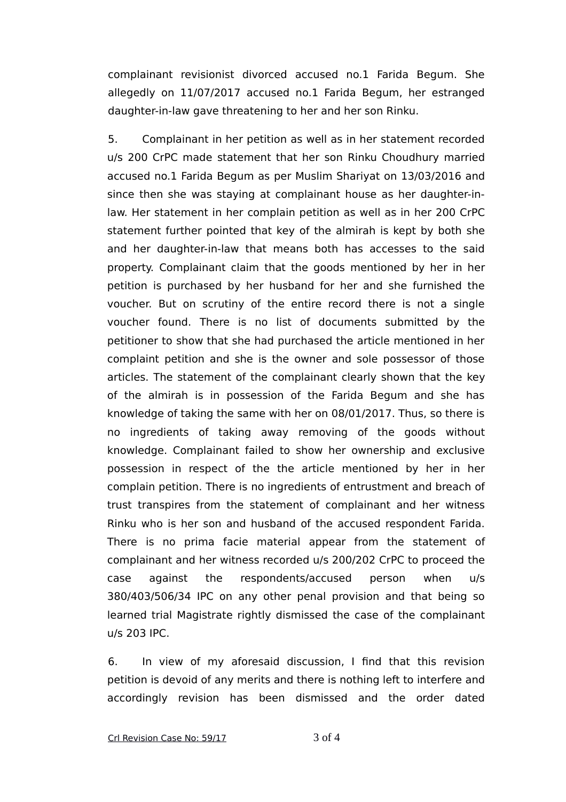complainant revisionist divorced accused no.1 Farida Begum. She allegedly on 11/07/2017 accused no.1 Farida Begum, her estranged daughter-in-law gave threatening to her and her son Rinku.

5. Complainant in her petition as well as in her statement recorded u/s 200 CrPC made statement that her son Rinku Choudhury married accused no.1 Farida Begum as per Muslim Shariyat on 13/03/2016 and since then she was staying at complainant house as her daughter-inlaw. Her statement in her complain petition as well as in her 200 CrPC statement further pointed that key of the almirah is kept by both she and her daughter-in-law that means both has accesses to the said property. Complainant claim that the goods mentioned by her in her petition is purchased by her husband for her and she furnished the voucher. But on scrutiny of the entire record there is not a single voucher found. There is no list of documents submitted by the petitioner to show that she had purchased the article mentioned in her complaint petition and she is the owner and sole possessor of those articles. The statement of the complainant clearly shown that the key of the almirah is in possession of the Farida Begum and she has knowledge of taking the same with her on 08/01/2017. Thus, so there is no ingredients of taking away removing of the goods without knowledge. Complainant failed to show her ownership and exclusive possession in respect of the the article mentioned by her in her complain petition. There is no ingredients of entrustment and breach of trust transpires from the statement of complainant and her witness Rinku who is her son and husband of the accused respondent Farida. There is no prima facie material appear from the statement of complainant and her witness recorded u/s 200/202 CrPC to proceed the case against the respondents/accused person when u/s 380/403/506/34 IPC on any other penal provision and that being so learned trial Magistrate rightly dismissed the case of the complainant u/s 203 IPC.

6. In view of my aforesaid discussion, I find that this revision petition is devoid of any merits and there is nothing left to interfere and accordingly revision has been dismissed and the order dated